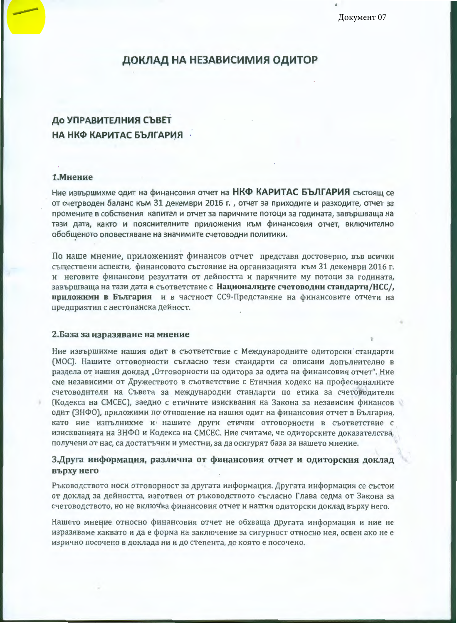Документ 07

## ДОКЛАД НА НЕЗАВИСИМИЯ ОДИТОР

# До УПРАВИТЕЛНИЯ СЪВЕТ НА НКФ КАРИТАС БЪЛГАРИЯ -

### 1. Мнение

Ние извършихме одит на финансовия отчет на НКФ КАРИТАС БЪЛГАРИЯ състоящ се от счетрводен баланс към 31 декември 2016 г., отчет за приходите и разходите, отчет за промените в собствения капитал и отчет за паричните потоци за годината, завършваща на тази дата, както и пояснителните приложения към финансовия отчет, включително обобщеното оповестяване на значимите счетоводни политики.

По наше мнение, приложеният финансов отчет представя достоверно, във всички съществени аспекти, финансовото състояние на организацията към 31 декември 2016 г. и неговите финансови резултати от дейността и паричните му потоци за годината, завършваща на тази дата в съответствие с Националните счетоводни стандарти/НСС/, приложими в България и в частност СС9-Представяне на финансовите отчети на предприятия с нестопанска дейност.

#### 2.База за изразяване на мнение

Ние извършихме нашия одит в съответствие с Международните одиторски стандарти (МОС). Нашите отговорности съгласно тези стандарти са описани допълнително в раздела от нашия доклад "Отговорности на одитора за одита на финансовия отчет". Ние сме независими от Дружеството в съответствие с Етичния кодекс на професионалните счетоводители на Съвета за международни стандарти по етика за счетоводители (Кодекса на СМСЕС), заедно с етичните изисквания на Закона за независим финансов одит (ЗНФО), приложими по отношение на нашия одит на финансовия отчет в България, като ние изпълнихме и нашите други етични отговорности в съответствие с изискванията на ЗНФО и Кодекса на СМСЕС. Ние считаме, че одиторските доказателства, получени от нас, са достатъчни и уместни, за да осигурят база за нашето мнение.

## 3.Друга информация, различна от финансовия отчет и одиторския доклад върху него

Ръководството носи отговорност за другата информация. Другата информация се състои от доклад за дейността, изготвен от ръководството съгласно Глава седма от Закона за счетоводството, но не включва финансовия отчет и нашия одиторски доклад върху него.

Нашето мнение относно финансовия отчет не обхваща другата информация и ние не изразяваме каквато и да е форма на заключение за сигурност относно нея, освен ако не е изрично посочено в доклада ни и до степента, до която е посочено.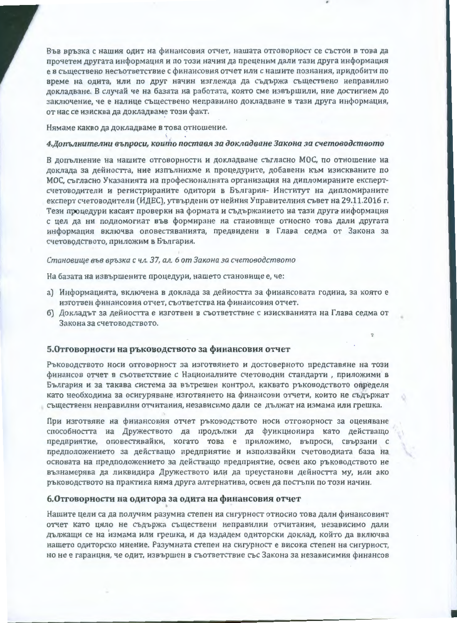Във връзка с нашия одит на финансовия отчет, нашата отговорност се състои в това да прочетем другата информация и по този начин да преценим дали тази друга информация е в съществено несъответствие с финансовия отчет или с нашите познания, придобити по време на одита, или по друг начин изглежда да съдържа съществено неправилно докладване. В случай че на базата на работата, която сме извършили, ние достигнем до заключение, че е налице съществено неправилно докладване в тази друга информация, от нас се изисква да докладваме този факт.

#### Нямаме какво да докладваме в това отношение.

#### 4. Допълнителни въпроси, които поставя за докладване Закона за счетоводството

В допълнение на нашите отговорности и докладване съгласно МОС, по отношение на доклада за дейността, ние изпълнихме и процедурите, добавени към изискваните по МОС, съгласно Указанията на професионалната организация на дипломираните експертсчетоводители и регистрираните одитори в България-Институт на дипломираните експерт счетоводители (ИДЕС), утвърдени от нейния Управителния съвет на 29.11.2016 г. Тези процедури касаят проверки на формата и съдържанието на тази друга информация с цел да ни подпомогнат във формиране на становище относно това дали другата информация включва оповестяванията, предвидени в Глава седма от Закона за счетоводството, приложим в България.

#### Становище във връзка с чл. 37, ал. 6 от Закона за счетоводството

На базата на извършените процедури, нашето становище е, че:

- а) Информацията, включена в доклада за дейността за финансовата година, за която е изготвен финансовия отчет, съответства на финансовия отчет.
- б) Докладът за дейността е изготвен в съответствие с изискванията на Глава седма от Закона за счетоводството.

## 5. Отговорности на ръководството за финансовия отчет

Ръководството носи отговорност за изготвянето и достоверното представяне на този финансов отчет в съответствие с Националните счетоводни стандарти , приложими в България и за такава система за вътрешен контрол, каквато ръководството определя като необходима за осигуряване изготвянето на финансови отчети, които не съдържат съществени неправилни отчитания, независимо дали се дължат на измама или грешка.

При изготвяне на финансовия отчет ръководството носи отговорност за оценяване способността на Дружеството да продължи да функционира като действащо предприятие, оповестявайки, когато това е приложимо, въпроси, свързани с предположението за действащо предприятие и използвайки счетоводната база на основата на предположението за действащо предприятие, освен ако ръководството не възнамерява да ликвидира Дружеството или да преустанови дейността му, или ако ръководството на практика няма друга алтернатива, освен да постъпи по този начин.

#### 6.Отговорности на одитора за одита на финансовия отчет

Нашите цели са да получим разумна степен на сигурност относно това дали финансовият отчет като цяло не съдържа съществени неправилни отчитания, независимо дали дължащи се на измама или грешка, и да издадем одиторски доклад, който да включва нашето одиторско мнение. Разумната степен на сигурност е висока степен на сигурност, но не е гаранция, че одит, извършен в съответствие със Закона за независимия финансов